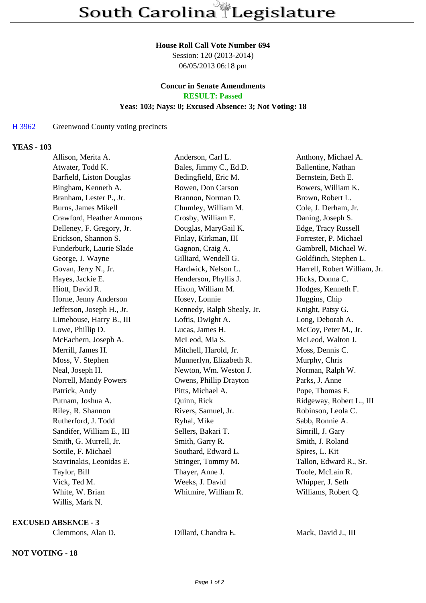#### **House Roll Call Vote Number 694**

Session: 120 (2013-2014) 06/05/2013 06:18 pm

#### **Concur in Senate Amendments RESULT: Passed**

### **Yeas: 103; Nays: 0; Excused Absence: 3; Not Voting: 18**

## H 3962 Greenwood County voting precincts

### **YEAS - 103**

| Allison, Merita A.        | Anderson, Carl L.          | Anthony, Michael A.          |
|---------------------------|----------------------------|------------------------------|
| Atwater, Todd K.          | Bales, Jimmy C., Ed.D.     | Ballentine, Nathan           |
| Barfield, Liston Douglas  | Bedingfield, Eric M.       | Bernstein, Beth E.           |
| Bingham, Kenneth A.       | Bowen, Don Carson          | Bowers, William K.           |
| Branham, Lester P., Jr.   | Brannon, Norman D.         | Brown, Robert L.             |
| Burns, James Mikell       | Chumley, William M.        | Cole, J. Derham, Jr.         |
| Crawford, Heather Ammons  | Crosby, William E.         | Daning, Joseph S.            |
| Delleney, F. Gregory, Jr. | Douglas, MaryGail K.       | Edge, Tracy Russell          |
| Erickson, Shannon S.      | Finlay, Kirkman, III       | Forrester, P. Michael        |
| Funderburk, Laurie Slade  | Gagnon, Craig A.           | Gambrell, Michael W.         |
| George, J. Wayne          | Gilliard, Wendell G.       | Goldfinch, Stephen L.        |
| Govan, Jerry N., Jr.      | Hardwick, Nelson L.        | Harrell, Robert William, Jr. |
| Hayes, Jackie E.          | Henderson, Phyllis J.      | Hicks, Donna C.              |
| Hiott, David R.           | Hixon, William M.          | Hodges, Kenneth F.           |
| Horne, Jenny Anderson     | Hosey, Lonnie              | Huggins, Chip                |
| Jefferson, Joseph H., Jr. | Kennedy, Ralph Shealy, Jr. | Knight, Patsy G.             |
| Limehouse, Harry B., III  | Loftis, Dwight A.          | Long, Deborah A.             |
| Lowe, Phillip D.          | Lucas, James H.            | McCoy, Peter M., Jr.         |
| McEachern, Joseph A.      | McLeod, Mia S.             | McLeod, Walton J.            |
| Merrill, James H.         | Mitchell, Harold, Jr.      | Moss, Dennis C.              |
| Moss, V. Stephen          | Munnerlyn, Elizabeth R.    | Murphy, Chris                |
| Neal, Joseph H.           | Newton, Wm. Weston J.      | Norman, Ralph W.             |
| Norrell, Mandy Powers     | Owens, Phillip Drayton     | Parks, J. Anne               |
| Patrick, Andy             | Pitts, Michael A.          | Pope, Thomas E.              |
| Putnam, Joshua A.         | Quinn, Rick                | Ridgeway, Robert L., III     |
| Riley, R. Shannon         | Rivers, Samuel, Jr.        | Robinson, Leola C.           |
| Rutherford, J. Todd       | Ryhal, Mike                | Sabb, Ronnie A.              |
| Sandifer, William E., III | Sellers, Bakari T.         | Simrill, J. Gary             |
| Smith, G. Murrell, Jr.    | Smith, Garry R.            | Smith, J. Roland             |
| Sottile, F. Michael       | Southard, Edward L.        | Spires, L. Kit               |
| Stavrinakis, Leonidas E.  | Stringer, Tommy M.         | Tallon, Edward R., Sr.       |
| Taylor, Bill              | Thayer, Anne J.            | Toole, McLain R.             |
| Vick, Ted M.              | Weeks, J. David            | Whipper, J. Seth             |
| White, W. Brian           | Whitmire, William R.       | Williams, Robert Q.          |
| Willis, Mark N.           |                            |                              |

**EXCUSED ABSENCE - 3**

Clemmons, Alan D. Dillard, Chandra E. Mack, David J., III

# **NOT VOTING - 18**